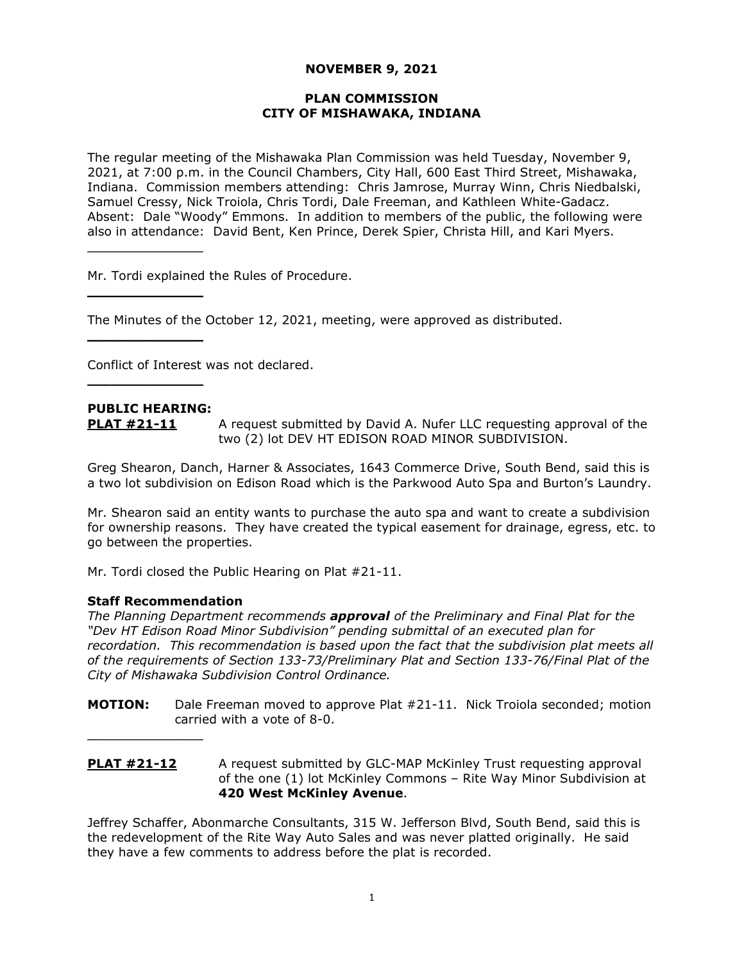## **NOVEMBER 9, 2021**

### **PLAN COMMISSION CITY OF MISHAWAKA, INDIANA**

The regular meeting of the Mishawaka Plan Commission was held Tuesday, November 9, 2021, at 7:00 p.m. in the Council Chambers, City Hall, 600 East Third Street, Mishawaka, Indiana. Commission members attending: Chris Jamrose, Murray Winn, Chris Niedbalski, Samuel Cressy, Nick Troiola, Chris Tordi, Dale Freeman, and Kathleen White-Gadacz. Absent: Dale "Woody" Emmons. In addition to members of the public, the following were also in attendance: David Bent, Ken Prince, Derek Spier, Christa Hill, and Kari Myers.

Mr. Tordi explained the Rules of Procedure.

The Minutes of the October 12, 2021, meeting, were approved as distributed.

Conflict of Interest was not declared.

## **PUBLIC HEARING:**

 $\overline{\phantom{a}}$  , where  $\overline{\phantom{a}}$ 

 $\overline{\phantom{a}}$  , where  $\overline{\phantom{a}}$ 

 $\overline{\phantom{a}}$  , where  $\overline{\phantom{a}}$  , where  $\overline{\phantom{a}}$ 

 $\overline{\phantom{a}}$  , where  $\overline{\phantom{a}}$  , where  $\overline{\phantom{a}}$ 

**PLAT #21-11** A request submitted by David A. Nufer LLC requesting approval of the two (2) lot DEV HT EDISON ROAD MINOR SUBDIVISION.

Greg Shearon, Danch, Harner & Associates, 1643 Commerce Drive, South Bend, said this is a two lot subdivision on Edison Road which is the Parkwood Auto Spa and Burton's Laundry.

Mr. Shearon said an entity wants to purchase the auto spa and want to create a subdivision for ownership reasons. They have created the typical easement for drainage, egress, etc. to go between the properties.

Mr. Tordi closed the Public Hearing on Plat #21-11.

#### **Staff Recommendation**

 $\overline{\phantom{a}}$  , where  $\overline{\phantom{a}}$  , where  $\overline{\phantom{a}}$ 

*The Planning Department recommends approval of the Preliminary and Final Plat for the "Dev HT Edison Road Minor Subdivision" pending submittal of an executed plan for recordation. This recommendation is based upon the fact that the subdivision plat meets all of the requirements of Section 133-73/Preliminary Plat and Section 133-76/Final Plat of the City of Mishawaka Subdivision Control Ordinance.*

- **MOTION:** Dale Freeman moved to approve Plat #21-11. Nick Troiola seconded; motion carried with a vote of 8-0.
- **PLAT #21-12** A request submitted by GLC-MAP McKinley Trust requesting approval of the one (1) lot McKinley Commons – Rite Way Minor Subdivision at **420 West McKinley Avenue**.

Jeffrey Schaffer, Abonmarche Consultants, 315 W. Jefferson Blvd, South Bend, said this is the redevelopment of the Rite Way Auto Sales and was never platted originally. He said they have a few comments to address before the plat is recorded.